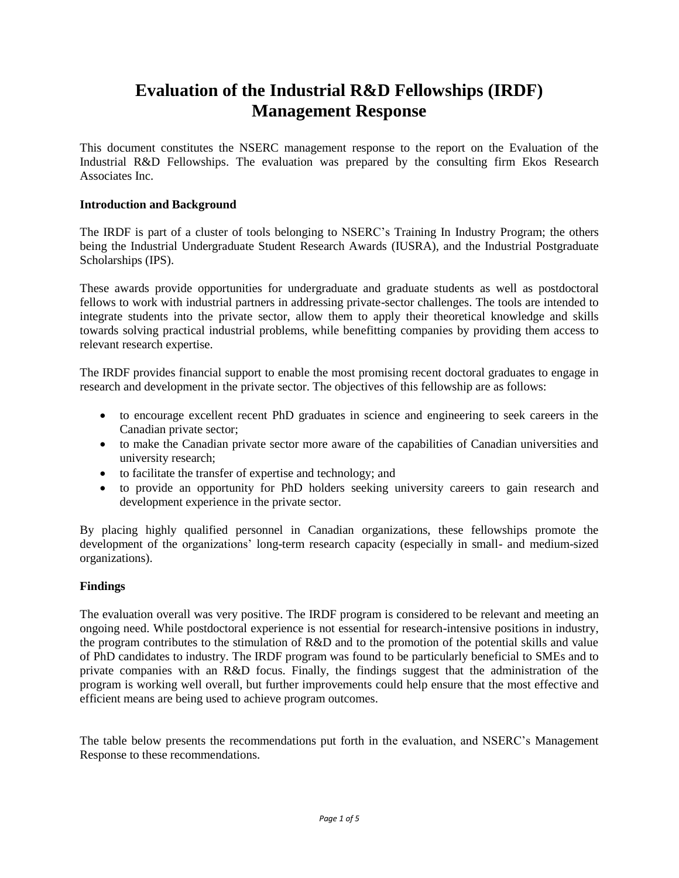## **Evaluation of the Industrial R&D Fellowships (IRDF) Management Response**

This document constitutes the NSERC management response to the report on the Evaluation of the Industrial R&D Fellowships. The evaluation was prepared by the consulting firm Ekos Research Associates Inc.

## **Introduction and Background**

The IRDF is part of a cluster of tools belonging to NSERC's Training In Industry Program; the others being the [Industrial Undergraduate Student Research Awards](http://www.nserc-crsng.gc.ca/Students-Etudiants/UG-PC/USRAI-BRPCI_eng.asp) (IUSRA), and the [Industrial Postgraduate](http://www.nserc-crsng.gc.ca/Students-Etudiants/PG-CS/IPS-BESII_eng.asp)  [Scholarships](http://www.nserc-crsng.gc.ca/Students-Etudiants/PG-CS/IPS-BESII_eng.asp) (IPS).

These awards provide opportunities for undergraduate and graduate students as well as postdoctoral fellows to work with industrial partners in addressing private-sector challenges. The tools are intended to integrate students into the private sector, allow them to apply their theoretical knowledge and skills towards solving practical industrial problems, while benefitting companies by providing them access to relevant research expertise.

The IRDF provides financial support to enable the most promising recent doctoral graduates to engage in research and development in the private sector. The objectives of this fellowship are as follows:

- to encourage excellent recent PhD graduates in science and engineering to seek careers in the Canadian private sector;
- to make the Canadian private sector more aware of the capabilities of Canadian universities and university research;
- to facilitate the transfer of expertise and technology; and
- to provide an opportunity for PhD holders seeking university careers to gain research and development experience in the private sector.

By placing highly qualified personnel in Canadian organizations, these fellowships promote the development of the organizations' long-term research capacity (especially in small- and medium-sized organizations).

## **Findings**

The evaluation overall was very positive. The IRDF program is considered to be relevant and meeting an ongoing need. While postdoctoral experience is not essential for research-intensive positions in industry, the program contributes to the stimulation of R&D and to the promotion of the potential skills and value of PhD candidates to industry. The IRDF program was found to be particularly beneficial to SMEs and to private companies with an R&D focus. Finally, the findings suggest that the administration of the program is working well overall, but further improvements could help ensure that the most effective and efficient means are being used to achieve program outcomes.

The table below presents the recommendations put forth in the evaluation, and NSERC's Management Response to these recommendations.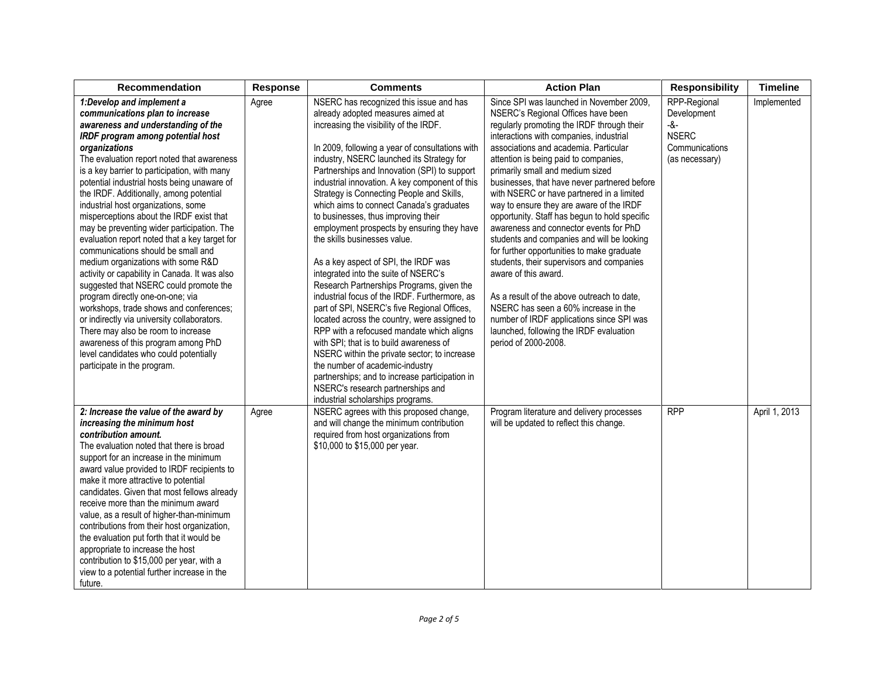| <b>Recommendation</b>                                                                                                                                                                                                                                                                                                                                                                                                                                                                                                                                                                                                                                                                                                                                                                                                                                                                                                                                                                         | <b>Response</b> | <b>Comments</b>                                                                                                                                                                                                                                                                                                                                                                                                                                                                                                                                                                                                                                                                                                                                                                                                                                                                                                                                                                                                                                                                                                            | <b>Action Plan</b>                                                                                                                                                                                                                                                                                                                                                                                                                                                                                                                                                                                                                                                                                                                                                                                                                                                                                       | <b>Responsibility</b>                                                                    | <b>Timeline</b> |
|-----------------------------------------------------------------------------------------------------------------------------------------------------------------------------------------------------------------------------------------------------------------------------------------------------------------------------------------------------------------------------------------------------------------------------------------------------------------------------------------------------------------------------------------------------------------------------------------------------------------------------------------------------------------------------------------------------------------------------------------------------------------------------------------------------------------------------------------------------------------------------------------------------------------------------------------------------------------------------------------------|-----------------|----------------------------------------------------------------------------------------------------------------------------------------------------------------------------------------------------------------------------------------------------------------------------------------------------------------------------------------------------------------------------------------------------------------------------------------------------------------------------------------------------------------------------------------------------------------------------------------------------------------------------------------------------------------------------------------------------------------------------------------------------------------------------------------------------------------------------------------------------------------------------------------------------------------------------------------------------------------------------------------------------------------------------------------------------------------------------------------------------------------------------|----------------------------------------------------------------------------------------------------------------------------------------------------------------------------------------------------------------------------------------------------------------------------------------------------------------------------------------------------------------------------------------------------------------------------------------------------------------------------------------------------------------------------------------------------------------------------------------------------------------------------------------------------------------------------------------------------------------------------------------------------------------------------------------------------------------------------------------------------------------------------------------------------------|------------------------------------------------------------------------------------------|-----------------|
| 1:Develop and implement a<br>communications plan to increase<br>awareness and understanding of the<br>IRDF program among potential host<br>organizations<br>The evaluation report noted that awareness<br>is a key barrier to participation, with many<br>potential industrial hosts being unaware of<br>the IRDF. Additionally, among potential<br>industrial host organizations, some<br>misperceptions about the IRDF exist that<br>may be preventing wider participation. The<br>evaluation report noted that a key target for<br>communications should be small and<br>medium organizations with some R&D<br>activity or capability in Canada. It was also<br>suggested that NSERC could promote the<br>program directly one-on-one; via<br>workshops, trade shows and conferences;<br>or indirectly via university collaborators.<br>There may also be room to increase<br>awareness of this program among PhD<br>level candidates who could potentially<br>participate in the program. | Agree           | NSERC has recognized this issue and has<br>already adopted measures aimed at<br>increasing the visibility of the IRDF.<br>In 2009, following a year of consultations with<br>industry, NSERC launched its Strategy for<br>Partnerships and Innovation (SPI) to support<br>industrial innovation. A key component of this<br>Strategy is Connecting People and Skills,<br>which aims to connect Canada's graduates<br>to businesses, thus improving their<br>employment prospects by ensuring they have<br>the skills businesses value.<br>As a key aspect of SPI, the IRDF was<br>integrated into the suite of NSERC's<br>Research Partnerships Programs, given the<br>industrial focus of the IRDF. Furthermore, as<br>part of SPI, NSERC's five Regional Offices,<br>located across the country, were assigned to<br>RPP with a refocused mandate which aligns<br>with SPI; that is to build awareness of<br>NSERC within the private sector; to increase<br>the number of academic-industry<br>partnerships; and to increase participation in<br>NSERC's research partnerships and<br>industrial scholarships programs. | Since SPI was launched in November 2009,<br>NSERC's Regional Offices have been<br>regularly promoting the IRDF through their<br>interactions with companies, industrial<br>associations and academia. Particular<br>attention is being paid to companies,<br>primarily small and medium sized<br>businesses, that have never partnered before<br>with NSERC or have partnered in a limited<br>way to ensure they are aware of the IRDF<br>opportunity. Staff has begun to hold specific<br>awareness and connector events for PhD<br>students and companies and will be looking<br>for further opportunities to make graduate<br>students, their supervisors and companies<br>aware of this award.<br>As a result of the above outreach to date.<br>NSERC has seen a 60% increase in the<br>number of IRDF applications since SPI was<br>launched, following the IRDF evaluation<br>period of 2000-2008. | RPP-Regional<br>Development<br>$-8-$<br><b>NSERC</b><br>Communications<br>(as necessary) | Implemented     |
| 2: Increase the value of the award by<br>increasing the minimum host<br>contribution amount.<br>The evaluation noted that there is broad<br>support for an increase in the minimum<br>award value provided to IRDF recipients to<br>make it more attractive to potential<br>candidates. Given that most fellows already<br>receive more than the minimum award<br>value, as a result of higher-than-minimum<br>contributions from their host organization,<br>the evaluation put forth that it would be<br>appropriate to increase the host<br>contribution to \$15,000 per year, with a<br>view to a potential further increase in the<br>future.                                                                                                                                                                                                                                                                                                                                            | Agree           | NSERC agrees with this proposed change,<br>and will change the minimum contribution<br>required from host organizations from<br>\$10,000 to \$15,000 per year.                                                                                                                                                                                                                                                                                                                                                                                                                                                                                                                                                                                                                                                                                                                                                                                                                                                                                                                                                             | Program literature and delivery processes<br>will be updated to reflect this change.                                                                                                                                                                                                                                                                                                                                                                                                                                                                                                                                                                                                                                                                                                                                                                                                                     | <b>RPP</b>                                                                               | April 1, 2013   |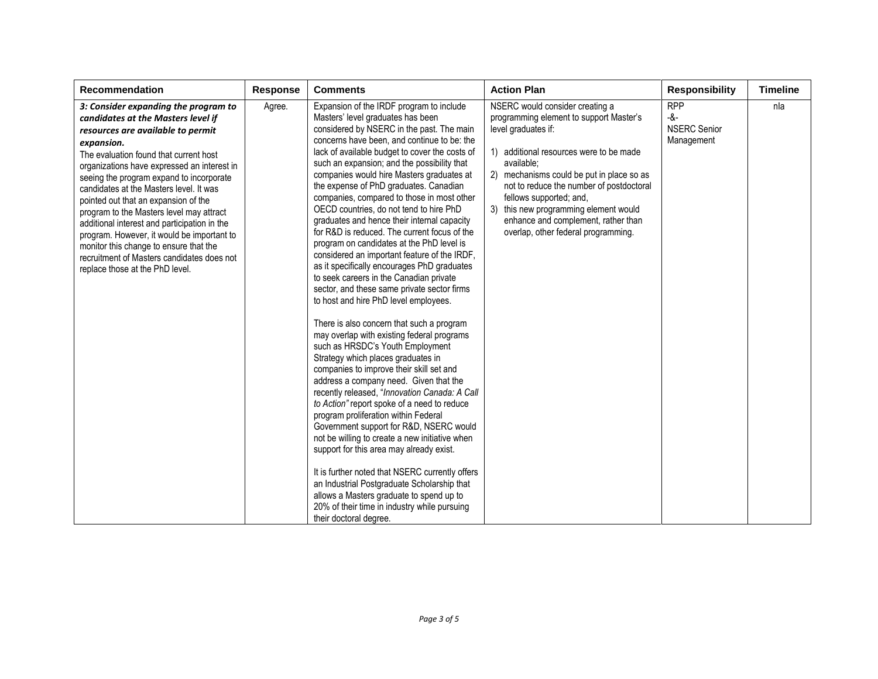| <b>Recommendation</b>                                                                                                                                                                                                                                                                                                                                                                                                                                                                                                                                                                                                      | Response | <b>Comments</b>                                                                                                                                                                                                                                                                                                                                                                                                                                                                                                                                                                                                                                                                                                                                                                                                                                                                                                                                                                                                                                                                                                                                                                                                                                                                                                                                                                                                                                                                                                                                                                                              | <b>Action Plan</b>                                                                                                                                                                                                                                                                                                                                                                                    | <b>Responsibility</b>                                  | <b>Timeline</b> |
|----------------------------------------------------------------------------------------------------------------------------------------------------------------------------------------------------------------------------------------------------------------------------------------------------------------------------------------------------------------------------------------------------------------------------------------------------------------------------------------------------------------------------------------------------------------------------------------------------------------------------|----------|--------------------------------------------------------------------------------------------------------------------------------------------------------------------------------------------------------------------------------------------------------------------------------------------------------------------------------------------------------------------------------------------------------------------------------------------------------------------------------------------------------------------------------------------------------------------------------------------------------------------------------------------------------------------------------------------------------------------------------------------------------------------------------------------------------------------------------------------------------------------------------------------------------------------------------------------------------------------------------------------------------------------------------------------------------------------------------------------------------------------------------------------------------------------------------------------------------------------------------------------------------------------------------------------------------------------------------------------------------------------------------------------------------------------------------------------------------------------------------------------------------------------------------------------------------------------------------------------------------------|-------------------------------------------------------------------------------------------------------------------------------------------------------------------------------------------------------------------------------------------------------------------------------------------------------------------------------------------------------------------------------------------------------|--------------------------------------------------------|-----------------|
| 3: Consider expanding the program to<br>candidates at the Masters level if<br>resources are available to permit<br>expansion.<br>The evaluation found that current host<br>organizations have expressed an interest in<br>seeing the program expand to incorporate<br>candidates at the Masters level. It was<br>pointed out that an expansion of the<br>program to the Masters level may attract<br>additional interest and participation in the<br>program. However, it would be important to<br>monitor this change to ensure that the<br>recruitment of Masters candidates does not<br>replace those at the PhD level. | Agree.   | Expansion of the IRDF program to include<br>Masters' level graduates has been<br>considered by NSERC in the past. The main<br>concerns have been, and continue to be: the<br>lack of available budget to cover the costs of<br>such an expansion; and the possibility that<br>companies would hire Masters graduates at<br>the expense of PhD graduates. Canadian<br>companies, compared to those in most other<br>OECD countries, do not tend to hire PhD<br>graduates and hence their internal capacity<br>for R&D is reduced. The current focus of the<br>program on candidates at the PhD level is<br>considered an important feature of the IRDF,<br>as it specifically encourages PhD graduates<br>to seek careers in the Canadian private<br>sector, and these same private sector firms<br>to host and hire PhD level employees.<br>There is also concern that such a program<br>may overlap with existing federal programs<br>such as HRSDC's Youth Employment<br>Strategy which places graduates in<br>companies to improve their skill set and<br>address a company need. Given that the<br>recently released, "Innovation Canada: A Call<br>to Action" report spoke of a need to reduce<br>program proliferation within Federal<br>Government support for R&D, NSERC would<br>not be willing to create a new initiative when<br>support for this area may already exist.<br>It is further noted that NSERC currently offers<br>an Industrial Postgraduate Scholarship that<br>allows a Masters graduate to spend up to<br>20% of their time in industry while pursuing<br>their doctoral degree. | NSERC would consider creating a<br>programming element to support Master's<br>level graduates if:<br>1) additional resources were to be made<br>available:<br>2) mechanisms could be put in place so as<br>not to reduce the number of postdoctoral<br>fellows supported; and,<br>3) this new programming element would<br>enhance and complement, rather than<br>overlap, other federal programming. | <b>RPP</b><br>-&-<br><b>NSERC Senior</b><br>Management | nla             |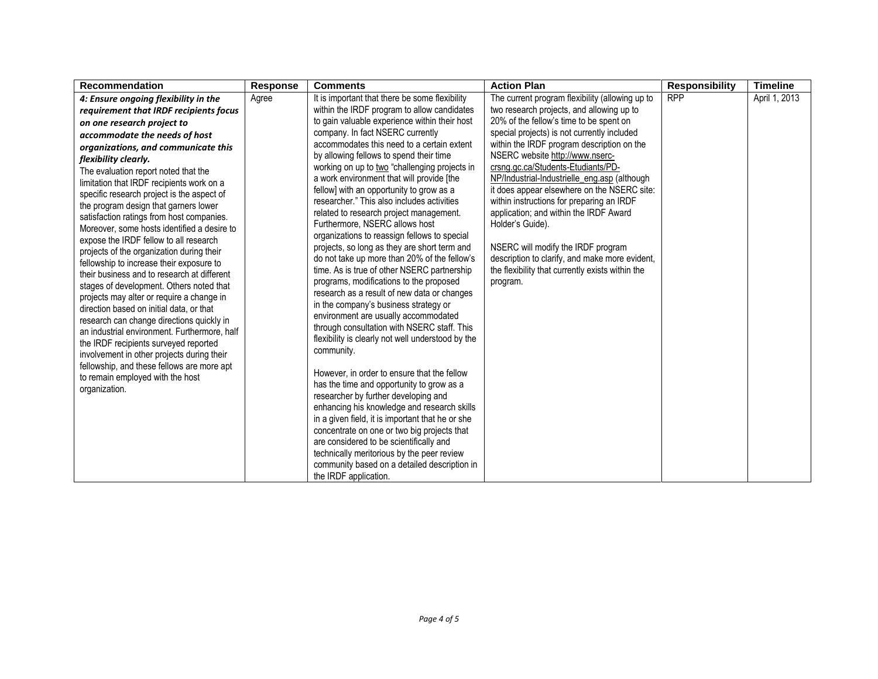| <b>Recommendation</b>                                                                                                                                                                                                                                                                                                                                                                                                                                                                                                                                                                                                                                                                                                                                                                                                                                                                                                                                                                                                                                                                              | <b>Response</b> | <b>Comments</b>                                                                                                                                                                                                                                                                                                                                                                                                                                                                                                                                                                                                                                                                                                                                                                                                                                                                                                                                                                                                                                                                                                                                                                  | <b>Action Plan</b>                                                                                                                                                                                                                                                                                                                                                                                                                                                                                                                                                                                                                                                              | <b>Responsibility</b> | <b>Timeline</b> |
|----------------------------------------------------------------------------------------------------------------------------------------------------------------------------------------------------------------------------------------------------------------------------------------------------------------------------------------------------------------------------------------------------------------------------------------------------------------------------------------------------------------------------------------------------------------------------------------------------------------------------------------------------------------------------------------------------------------------------------------------------------------------------------------------------------------------------------------------------------------------------------------------------------------------------------------------------------------------------------------------------------------------------------------------------------------------------------------------------|-----------------|----------------------------------------------------------------------------------------------------------------------------------------------------------------------------------------------------------------------------------------------------------------------------------------------------------------------------------------------------------------------------------------------------------------------------------------------------------------------------------------------------------------------------------------------------------------------------------------------------------------------------------------------------------------------------------------------------------------------------------------------------------------------------------------------------------------------------------------------------------------------------------------------------------------------------------------------------------------------------------------------------------------------------------------------------------------------------------------------------------------------------------------------------------------------------------|---------------------------------------------------------------------------------------------------------------------------------------------------------------------------------------------------------------------------------------------------------------------------------------------------------------------------------------------------------------------------------------------------------------------------------------------------------------------------------------------------------------------------------------------------------------------------------------------------------------------------------------------------------------------------------|-----------------------|-----------------|
| 4: Ensure ongoing flexibility in the<br>requirement that IRDF recipients focus<br>on one research project to<br>accommodate the needs of host<br>organizations, and communicate this<br>flexibility clearly.<br>The evaluation report noted that the<br>limitation that IRDF recipients work on a<br>specific research project is the aspect of<br>the program design that garners lower<br>satisfaction ratings from host companies.<br>Moreover, some hosts identified a desire to<br>expose the IRDF fellow to all research<br>projects of the organization during their<br>fellowship to increase their exposure to<br>their business and to research at different<br>stages of development. Others noted that<br>projects may alter or require a change in<br>direction based on initial data, or that<br>research can change directions quickly in<br>an industrial environment. Furthermore, half<br>the IRDF recipients surveyed reported<br>involvement in other projects during their<br>fellowship, and these fellows are more apt<br>to remain employed with the host<br>organization. | Agree           | It is important that there be some flexibility<br>within the IRDF program to allow candidates<br>to gain valuable experience within their host<br>company. In fact NSERC currently<br>accommodates this need to a certain extent<br>by allowing fellows to spend their time<br>working on up to two "challenging projects in<br>a work environment that will provide [the<br>fellow] with an opportunity to grow as a<br>researcher." This also includes activities<br>related to research project management.<br>Furthermore, NSERC allows host<br>organizations to reassign fellows to special<br>projects, so long as they are short term and<br>do not take up more than 20% of the fellow's<br>time. As is true of other NSERC partnership<br>programs, modifications to the proposed<br>research as a result of new data or changes<br>in the company's business strategy or<br>environment are usually accommodated<br>through consultation with NSERC staff. This<br>flexibility is clearly not well understood by the<br>community.<br>However, in order to ensure that the fellow<br>has the time and opportunity to grow as a<br>researcher by further developing and | The current program flexibility (allowing up to<br>two research projects, and allowing up to<br>20% of the fellow's time to be spent on<br>special projects) is not currently included<br>within the IRDF program description on the<br>NSERC website http://www.nserc-<br>crsng.gc.ca/Students-Etudiants/PD-<br>NP/Industrial-Industrielle_eng.asp (although<br>it does appear elsewhere on the NSERC site:<br>within instructions for preparing an IRDF<br>application; and within the IRDF Award<br>Holder's Guide).<br>NSERC will modify the IRDF program<br>description to clarify, and make more evident,<br>the flexibility that currently exists within the<br>program. | <b>RPP</b>            | April 1, 2013   |
|                                                                                                                                                                                                                                                                                                                                                                                                                                                                                                                                                                                                                                                                                                                                                                                                                                                                                                                                                                                                                                                                                                    |                 | enhancing his knowledge and research skills<br>in a given field, it is important that he or she<br>concentrate on one or two big projects that<br>are considered to be scientifically and<br>technically meritorious by the peer review<br>community based on a detailed description in<br>the IRDF application.                                                                                                                                                                                                                                                                                                                                                                                                                                                                                                                                                                                                                                                                                                                                                                                                                                                                 |                                                                                                                                                                                                                                                                                                                                                                                                                                                                                                                                                                                                                                                                                 |                       |                 |